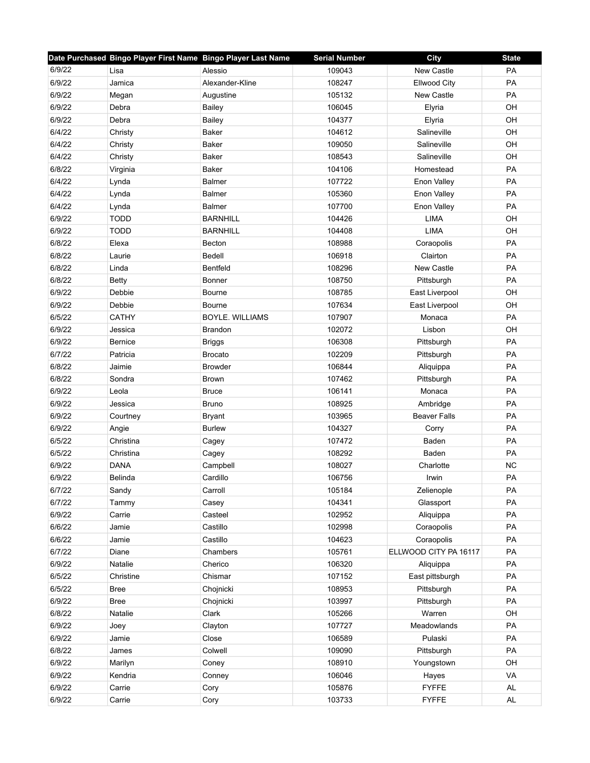|        | Date Purchased Bingo Player First Name Bingo Player Last Name |                        | <b>Serial Number</b> | <b>City</b>           | <b>State</b> |
|--------|---------------------------------------------------------------|------------------------|----------------------|-----------------------|--------------|
| 6/9/22 | Lisa                                                          | Alessio                | 109043               | New Castle            | <b>PA</b>    |
| 6/9/22 | Jamica                                                        | Alexander-Kline        | 108247               | <b>Ellwood City</b>   | PA           |
| 6/9/22 | Megan                                                         | Augustine              | 105132               | New Castle            | PA           |
| 6/9/22 | Debra                                                         | <b>Bailey</b>          | 106045               | Elyria                | OH           |
| 6/9/22 | Debra                                                         | Bailey                 | 104377               | Elyria                | OH           |
| 6/4/22 | Christy                                                       | Baker                  | 104612               | Salineville           | OH           |
| 6/4/22 | Christy                                                       | <b>Baker</b>           | 109050               | Salineville           | OH           |
| 6/4/22 | Christy                                                       | Baker                  | 108543               | Salineville           | OH           |
| 6/8/22 | Virginia                                                      | <b>Baker</b>           | 104106               | Homestead             | PA           |
| 6/4/22 | Lynda                                                         | <b>Balmer</b>          | 107722               | Enon Valley           | PA           |
| 6/4/22 | Lynda                                                         | <b>Balmer</b>          | 105360               | Enon Valley           | PA           |
| 6/4/22 | Lynda                                                         | <b>Balmer</b>          | 107700               | Enon Valley           | PA           |
| 6/9/22 | <b>TODD</b>                                                   | <b>BARNHILL</b>        | 104426               | LIMA                  | OH           |
| 6/9/22 | <b>TODD</b>                                                   | <b>BARNHILL</b>        | 104408               | <b>LIMA</b>           | OH           |
| 6/8/22 | Elexa                                                         | <b>Becton</b>          | 108988               | Coraopolis            | PA           |
| 6/8/22 | Laurie                                                        | Bedell                 | 106918               | Clairton              | PA           |
| 6/8/22 | Linda                                                         | <b>Bentfeld</b>        | 108296               | New Castle            | PA           |
| 6/8/22 | Betty                                                         | Bonner                 | 108750               | Pittsburgh            | PA           |
| 6/9/22 | Debbie                                                        | <b>Bourne</b>          | 108785               | East Liverpool        | OH           |
| 6/9/22 | Debbie                                                        | <b>Bourne</b>          | 107634               | East Liverpool        | OH           |
| 6/5/22 | <b>CATHY</b>                                                  | <b>BOYLE, WILLIAMS</b> | 107907               | Monaca                | PA           |
| 6/9/22 | Jessica                                                       | <b>Brandon</b>         | 102072               | Lisbon                | OH           |
| 6/9/22 | <b>Bernice</b>                                                | <b>Briggs</b>          | 106308               | Pittsburgh            | PA           |
| 6/7/22 | Patricia                                                      | <b>Brocato</b>         | 102209               | Pittsburgh            | PA           |
| 6/8/22 | Jaimie                                                        | <b>Browder</b>         | 106844               | Aliquippa             | PA           |
| 6/8/22 | Sondra                                                        | <b>Brown</b>           | 107462               | Pittsburgh            | PA           |
| 6/9/22 | Leola                                                         | <b>Bruce</b>           | 106141               | Monaca                | PA           |
| 6/9/22 | Jessica                                                       | <b>Bruno</b>           | 108925               | Ambridge              | PA           |
| 6/9/22 | Courtney                                                      | <b>Bryant</b>          | 103965               | <b>Beaver Falls</b>   | PA           |
| 6/9/22 | Angie                                                         | <b>Burlew</b>          | 104327               | Corry                 | <b>PA</b>    |
| 6/5/22 | Christina                                                     | Cagey                  | 107472               | Baden                 | PA           |
| 6/5/22 | Christina                                                     | Cagey                  | 108292               | Baden                 | PA           |
| 6/9/22 | <b>DANA</b>                                                   | Campbell               | 108027               | Charlotte             | <b>NC</b>    |
| 6/9/22 | <b>Belinda</b>                                                | Cardillo               | 106756               | Irwin                 | PA           |
| 6/7/22 | Sandy                                                         | Carroll                | 105184               | Zelienople            | PA           |
| 6/7/22 | Tammy                                                         | Casey                  | 104341               | Glassport             | PA           |
| 6/9/22 | Carrie                                                        | Casteel                | 102952               | Aliquippa             | PA           |
| 6/6/22 | Jamie                                                         | Castillo               | 102998               | Coraopolis            | PA           |
| 6/6/22 | Jamie                                                         | Castillo               | 104623               | Coraopolis            | PA           |
| 6/7/22 | Diane                                                         | Chambers               | 105761               | ELLWOOD CITY PA 16117 | PA           |
| 6/9/22 | Natalie                                                       | Cherico                | 106320               | Aliquippa             | PA           |
| 6/5/22 | Christine                                                     | Chismar                | 107152               | East pittsburgh       | PA           |
| 6/5/22 | <b>Bree</b>                                                   | Chojnicki              | 108953               | Pittsburgh            | PA           |
| 6/9/22 | <b>Bree</b>                                                   | Chojnicki              | 103997               | Pittsburgh            | PA           |
| 6/8/22 | Natalie                                                       | Clark                  | 105266               | Warren                | OH           |
| 6/9/22 | Joey                                                          | Clayton                | 107727               | Meadowlands           | PA           |
| 6/9/22 | Jamie                                                         | Close                  | 106589               | Pulaski               | PA           |
| 6/8/22 | James                                                         | Colwell                | 109090               | Pittsburgh            | PA           |
| 6/9/22 | Marilyn                                                       | Coney                  | 108910               | Youngstown            | OH           |
| 6/9/22 | Kendria                                                       | Conney                 | 106046               | Hayes                 | VA           |
| 6/9/22 | Carrie                                                        | Cory                   | 105876               | <b>FYFFE</b>          | AL           |
| 6/9/22 | Carrie                                                        | Cory                   | 103733               | <b>FYFFE</b>          | AL           |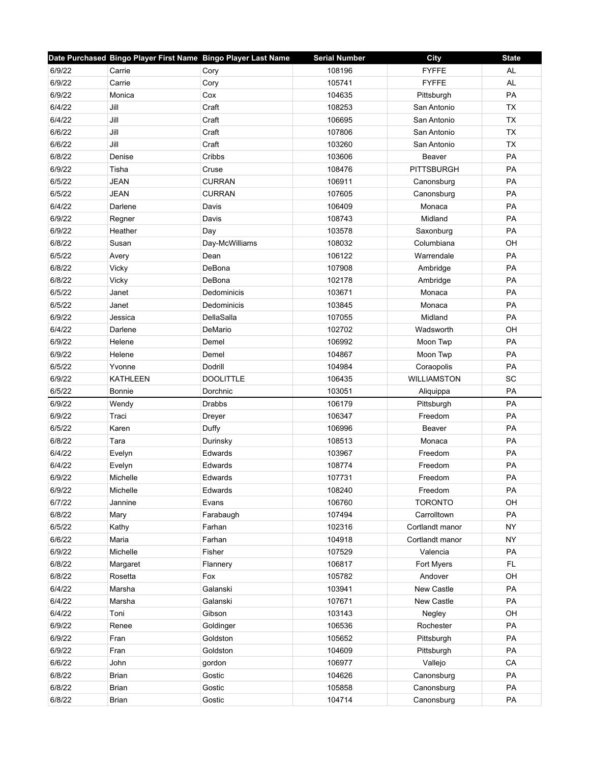|                  | Date Purchased Bingo Player First Name Bingo Player Last Name |                       | <b>Serial Number</b> | City                | <b>State</b> |
|------------------|---------------------------------------------------------------|-----------------------|----------------------|---------------------|--------------|
| 6/9/22           | Carrie                                                        | Cory                  | 108196               | <b>FYFFE</b>        | AL           |
| 6/9/22           | Carrie                                                        | Cory                  | 105741               | <b>FYFFE</b>        | <b>AL</b>    |
| 6/9/22           | Monica                                                        | Cox                   | 104635               | Pittsburgh          | PA           |
| 6/4/22           | Jill                                                          | Craft                 | 108253               | San Antonio         | <b>TX</b>    |
| 6/4/22           | Jill                                                          | Craft                 | 106695               | San Antonio         | <b>TX</b>    |
| 6/6/22           | Jill                                                          | Craft                 | 107806               | San Antonio         | <b>TX</b>    |
| 6/6/22           | Jill                                                          | Craft                 | 103260               | San Antonio         | <b>TX</b>    |
| 6/8/22           | Denise                                                        | Cribbs                | 103606               | Beaver              | PA           |
| 6/9/22           | Tisha                                                         | Cruse                 | 108476               | <b>PITTSBURGH</b>   | PA           |
| 6/5/22           | <b>JEAN</b>                                                   | <b>CURRAN</b>         | 106911               | Canonsburg          | PA           |
| 6/5/22           | <b>JEAN</b>                                                   | <b>CURRAN</b>         | 107605               | Canonsburg          | <b>PA</b>    |
| 6/4/22           | Darlene                                                       | Davis                 | 106409               | Monaca              | PA           |
| 6/9/22           | Regner                                                        | Davis                 | 108743               | Midland             | PA           |
| 6/9/22           | Heather                                                       | Day                   | 103578               | Saxonburg           | PA           |
| 6/8/22           | Susan                                                         | Day-McWilliams        | 108032               | Columbiana          | OH           |
| 6/5/22           | Avery                                                         | Dean                  | 106122               | Warrendale          | PA           |
| 6/8/22           | Vicky                                                         | DeBona                | 107908               | Ambridge            | PA           |
| 6/8/22           | Vicky                                                         | DeBona                | 102178               | Ambridge            | PA           |
| 6/5/22           | Janet                                                         | Dedominicis           | 103671               | Monaca              | PA           |
| 6/5/22           | Janet                                                         | Dedominicis           | 103845               | Monaca              | PA           |
| 6/9/22           | Jessica                                                       | DellaSalla            | 107055               | Midland             | PA           |
| 6/4/22           | Darlene                                                       | DeMario               | 102702               | Wadsworth           | OH           |
| 6/9/22           | Helene                                                        | Demel                 | 106992               | Moon Twp            | PA           |
| 6/9/22           | Helene                                                        | Demel                 | 104867               | Moon Twp            | PA           |
| 6/5/22           | Yvonne                                                        | Dodrill               | 104984               | Coraopolis          | PA           |
| 6/9/22           | <b>KATHLEEN</b>                                               | <b>DOOLITTLE</b>      | 106435               | <b>WILLIAMSTON</b>  | SC           |
| 6/5/22           | Bonnie                                                        | Dorchnic              | 103051               | Aliquippa           | PA           |
| 6/9/22           | Wendy                                                         | Drabbs                | 106179               | Pittsburgh          | <b>PA</b>    |
| 6/9/22           | Traci                                                         | Dreyer                | 106347               | Freedom             | PA           |
| 6/5/22           | Karen                                                         | Duffy                 | 106996               | Beaver              | PA           |
| 6/8/22           | Tara                                                          | Durinsky              | 108513               | Monaca              | PA           |
| 6/4/22           | Evelyn                                                        | Edwards               | 103967               | Freedom             | PA           |
| 6/4/22           | Evelyn                                                        | Edwards               | 108774               | Freedom             | PA           |
| 6/9/22           | Michelle                                                      | Edwards               | 107731               | Freedom             | PA           |
| 6/9/22           | Michelle                                                      | Edwards               | 108240               | Freedom             | PA           |
| 6/7/22           | Jannine                                                       | Evans                 | 106760               | <b>TORONTO</b>      | OH           |
| 6/8/22           | Mary                                                          | Farabaugh             | 107494               | Carrolltown         | PA           |
| 6/5/22           | Kathy                                                         | Farhan                | 102316               | Cortlandt manor     | <b>NY</b>    |
| 6/6/22           | Maria                                                         | Farhan                | 104918               | Cortlandt manor     | <b>NY</b>    |
| 6/9/22           | Michelle                                                      | Fisher                | 107529               | Valencia            | PA           |
| 6/8/22           | Margaret                                                      | Flannery              | 106817               | Fort Myers          | FL.          |
| 6/8/22           | Rosetta                                                       | Fox                   | 105782               | Andover             | OH           |
| 6/4/22           | Marsha                                                        | Galanski              | 103941               | New Castle          | PA           |
| 6/4/22           | Marsha                                                        | Galanski              | 107671               | New Castle          | PA           |
|                  |                                                               |                       |                      |                     |              |
| 6/4/22<br>6/9/22 | Toni<br>Renee                                                 | Gibson                | 103143<br>106536     | Negley<br>Rochester | OH<br>PA     |
| 6/9/22           | Fran                                                          | Goldinger<br>Goldston | 105652               |                     | PA           |
|                  |                                                               |                       | 104609               | Pittsburgh          | PA           |
| 6/9/22           | Fran                                                          | Goldston              |                      | Pittsburgh          |              |
| 6/6/22           | John                                                          | gordon                | 106977               | Vallejo             | CA           |
| 6/8/22           | <b>Brian</b>                                                  | Gostic                | 104626               | Canonsburg          | PA           |
| 6/8/22           | <b>Brian</b>                                                  | Gostic                | 105858               | Canonsburg          | PA           |
| 6/8/22           | <b>Brian</b>                                                  | Gostic                | 104714               | Canonsburg          | PA           |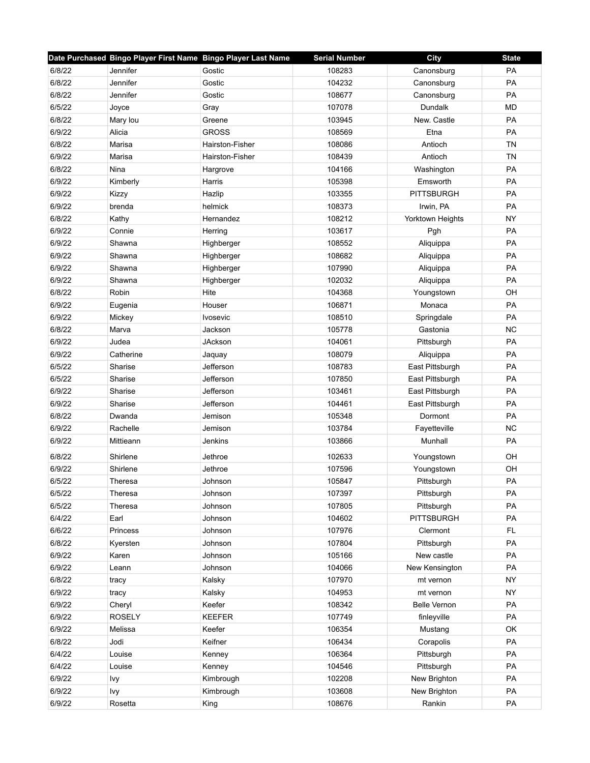|        | Date Purchased Bingo Player First Name Bingo Player Last Name |                 | <b>Serial Number</b> | <b>City</b>         | <b>State</b> |
|--------|---------------------------------------------------------------|-----------------|----------------------|---------------------|--------------|
| 6/8/22 | Jennifer                                                      | Gostic          | 108283               | Canonsburg          | <b>PA</b>    |
| 6/8/22 | Jennifer                                                      | Gostic          | 104232               | Canonsburg          | PA           |
| 6/8/22 | Jennifer                                                      | Gostic          | 108677               | Canonsburg          | PA           |
| 6/5/22 | Joyce                                                         | Gray            | 107078               | <b>Dundalk</b>      | <b>MD</b>    |
| 6/8/22 | Mary lou                                                      | Greene          | 103945               | New. Castle         | PA           |
| 6/9/22 | Alicia                                                        | <b>GROSS</b>    | 108569               | Etna                | PA           |
| 6/8/22 | Marisa                                                        | Hairston-Fisher | 108086               | Antioch             | <b>TN</b>    |
| 6/9/22 | Marisa                                                        | Hairston-Fisher | 108439               | Antioch             | <b>TN</b>    |
| 6/8/22 | Nina                                                          | Hargrove        | 104166               | Washington          | PA           |
| 6/9/22 | Kimberly                                                      | Harris          | 105398               | Emsworth            | PA           |
| 6/9/22 | Kizzy                                                         | Hazlip          | 103355               | <b>PITTSBURGH</b>   | PA           |
| 6/9/22 | brenda                                                        | helmick         | 108373               | Irwin, PA           | PA           |
| 6/8/22 | Kathy                                                         | Hernandez       | 108212               | Yorktown Heights    | <b>NY</b>    |
| 6/9/22 | Connie                                                        | Herring         | 103617               | Pgh                 | <b>PA</b>    |
| 6/9/22 | Shawna                                                        | Highberger      | 108552               | Aliquippa           | PA           |
| 6/9/22 | Shawna                                                        | Highberger      | 108682               | Aliquippa           | <b>PA</b>    |
| 6/9/22 | Shawna                                                        | Highberger      | 107990               | Aliquippa           | PA           |
| 6/9/22 | Shawna                                                        | Highberger      | 102032               | Aliquippa           | PA           |
| 6/8/22 | Robin                                                         | Hite            | 104368               | Youngstown          | OH           |
| 6/9/22 | Eugenia                                                       | Houser          | 106871               | Monaca              | PA           |
| 6/9/22 | Mickey                                                        | <b>Ivosevic</b> | 108510               | Springdale          | PA           |
| 6/8/22 | Marva                                                         | Jackson         | 105778               | Gastonia            | <b>NC</b>    |
| 6/9/22 | Judea                                                         | <b>JAckson</b>  | 104061               | Pittsburgh          | PA           |
| 6/9/22 | Catherine                                                     | Jaquay          | 108079               | Aliquippa           | PA           |
| 6/5/22 | Sharise                                                       | Jefferson       | 108783               | East Pittsburgh     | PA           |
| 6/5/22 | Sharise                                                       | Jefferson       | 107850               | East Pittsburgh     | PA           |
| 6/9/22 | Sharise                                                       | Jefferson       | 103461               | East Pittsburgh     | PA           |
| 6/9/22 | Sharise                                                       | Jefferson       | 104461               | East Pittsburgh     | PA           |
| 6/8/22 | Dwanda                                                        | Jemison         | 105348               | Dormont             | PA           |
| 6/9/22 | Rachelle                                                      | Jemison         | 103784               | Fayetteville        | <b>NC</b>    |
| 6/9/22 | Mittieann                                                     | Jenkins         | 103866               | Munhall             | PA           |
| 6/8/22 | Shirlene                                                      | Jethroe         | 102633               | Youngstown          | OH           |
| 6/9/22 | Shirlene                                                      | Jethroe         | 107596               | Youngstown          | OH           |
| 6/5/22 | Theresa                                                       | Johnson         | 105847               | Pittsburgh          | PA           |
| 6/5/22 | Theresa                                                       | Johnson         | 107397               | Pittsburgh          | PA           |
| 6/5/22 | Theresa                                                       | Johnson         | 107805               | Pittsburgh          | PA           |
| 6/4/22 | Earl                                                          | Johnson         | 104602               | <b>PITTSBURGH</b>   | PA           |
| 6/6/22 | Princess                                                      | Johnson         | 107976               | Clermont            | <b>FL</b>    |
| 6/8/22 | Kyersten                                                      | Johnson         | 107804               | Pittsburgh          | PA           |
| 6/9/22 | Karen                                                         | Johnson         | 105166               | New castle          | PA           |
| 6/9/22 | Leann                                                         | Johnson         | 104066               | New Kensington      | PA           |
| 6/8/22 | tracy                                                         | Kalsky          | 107970               | mt vernon           | <b>NY</b>    |
| 6/9/22 | tracy                                                         | Kalsky          | 104953               | mt vernon           | <b>NY</b>    |
| 6/9/22 | Cheryl                                                        | Keefer          | 108342               | <b>Belle Vernon</b> | PA           |
| 6/9/22 | <b>ROSELY</b>                                                 | <b>KEEFER</b>   | 107749               | finleyville         | PA           |
| 6/9/22 | Melissa                                                       | Keefer          | 106354               | Mustang             | OK           |
| 6/8/22 | Jodi                                                          | Keifner         | 106434               | Corapolis           | PA           |
| 6/4/22 | Louise                                                        | Kenney          | 106364               | Pittsburgh          | PA           |
| 6/4/22 | Louise                                                        | Kenney          | 104546               | Pittsburgh          | PA           |
| 6/9/22 | Ivy                                                           | Kimbrough       | 102208               | New Brighton        | PA           |
| 6/9/22 | Ivy                                                           | Kimbrough       | 103608               | New Brighton        | PA           |
| 6/9/22 | Rosetta                                                       | King            | 108676               | Rankin              | PA           |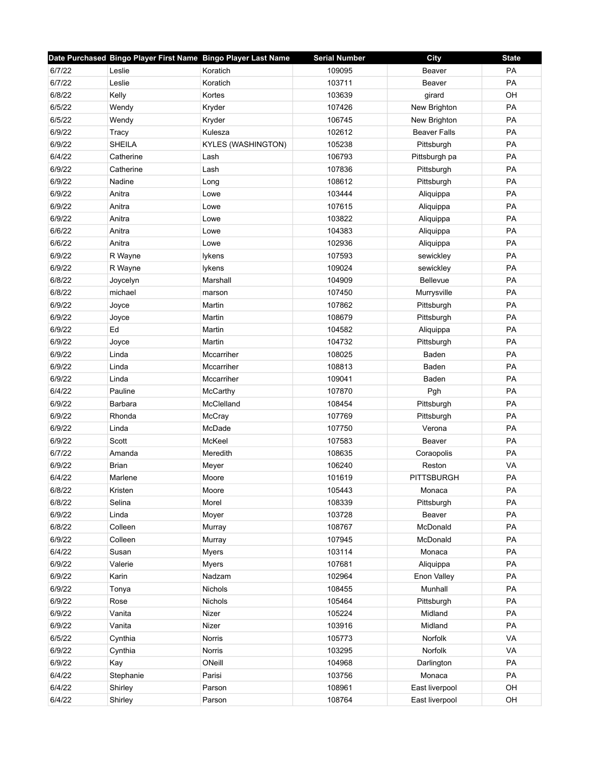|        | Date Purchased Bingo Player First Name Bingo Player Last Name |                           | <b>Serial Number</b> | City                | <b>State</b> |
|--------|---------------------------------------------------------------|---------------------------|----------------------|---------------------|--------------|
| 6/7/22 | Leslie                                                        | Koratich                  | 109095               | Beaver              | PA           |
| 6/7/22 | Leslie                                                        | Koratich                  | 103711               | Beaver              | PA           |
| 6/8/22 | Kelly                                                         | Kortes                    | 103639               | girard              | OH           |
| 6/5/22 | Wendy                                                         | Kryder                    | 107426               | New Brighton        | PA           |
| 6/5/22 | Wendy                                                         | Kryder                    | 106745               | New Brighton        | PA           |
| 6/9/22 | Tracy                                                         | Kulesza                   | 102612               | <b>Beaver Falls</b> | PA           |
| 6/9/22 | <b>SHEILA</b>                                                 | <b>KYLES (WASHINGTON)</b> | 105238               | Pittsburgh          | PA           |
| 6/4/22 | Catherine                                                     | Lash                      | 106793               | Pittsburgh pa       | PA           |
| 6/9/22 | Catherine                                                     | Lash                      | 107836               | Pittsburgh          | PA           |
| 6/9/22 | Nadine                                                        | Long                      | 108612               | Pittsburgh          | PA           |
| 6/9/22 | Anitra                                                        | Lowe                      | 103444               | Aliquippa           | PA           |
| 6/9/22 | Anitra                                                        | Lowe                      | 107615               | Aliquippa           | PA           |
| 6/9/22 | Anitra                                                        | Lowe                      | 103822               | Aliquippa           | PA           |
| 6/6/22 | Anitra                                                        | Lowe                      | 104383               | Aliquippa           | PA           |
| 6/6/22 | Anitra                                                        | Lowe                      | 102936               | Aliquippa           | PA           |
| 6/9/22 | R Wayne                                                       | lykens                    | 107593               | sewickley           | PA           |
| 6/9/22 | R Wayne                                                       | lykens                    | 109024               | sewickley           | PA           |
| 6/8/22 | Joycelyn                                                      | Marshall                  | 104909               | Bellevue            | PA           |
| 6/8/22 | michael                                                       | marson                    | 107450               | Murrysville         | <b>PA</b>    |
| 6/9/22 | Joyce                                                         | Martin                    | 107862               | Pittsburgh          | PA           |
| 6/9/22 | Joyce                                                         | Martin                    | 108679               | Pittsburgh          | PA           |
| 6/9/22 | Ed                                                            | Martin                    | 104582               | Aliquippa           | PA           |
| 6/9/22 | Joyce                                                         | Martin                    | 104732               | Pittsburgh          | PA           |
| 6/9/22 | Linda                                                         | Mccarriher                | 108025               | Baden               | PA           |
| 6/9/22 | Linda                                                         | Mccarriher                | 108813               | Baden               | PA           |
| 6/9/22 | Linda                                                         | Mccarriher                | 109041               | Baden               | PA           |
| 6/4/22 | Pauline                                                       | McCarthy                  | 107870               | Pgh                 | PA           |
| 6/9/22 | Barbara                                                       | McClelland                | 108454               | Pittsburgh          | PA           |
| 6/9/22 | Rhonda                                                        | McCray                    | 107769               | Pittsburgh          | PA           |
| 6/9/22 | Linda                                                         | McDade                    | 107750               | Verona              | <b>PA</b>    |
| 6/9/22 | Scott                                                         | McKeel                    | 107583               | Beaver              | PA           |
| 6/7/22 | Amanda                                                        | Meredith                  | 108635               | Coraopolis          | PA           |
| 6/9/22 | <b>Brian</b>                                                  | Meyer                     | 106240               | Reston              | VA           |
| 6/4/22 | Marlene                                                       | Moore                     | 101619               | <b>PITTSBURGH</b>   | PA           |
| 6/8/22 | Kristen                                                       | Moore                     | 105443               | Monaca              | PA           |
| 6/8/22 | Selina                                                        | Morel                     | 108339               | Pittsburgh          | PA           |
| 6/9/22 | Linda                                                         | Moyer                     | 103728               | Beaver              | PA           |
| 6/8/22 | Colleen                                                       | Murray                    | 108767               | McDonald            | PA           |
| 6/9/22 | Colleen                                                       | Murray                    | 107945               | McDonald            | PA           |
| 6/4/22 | Susan                                                         | <b>Myers</b>              | 103114               | Monaca              | PA           |
| 6/9/22 | Valerie                                                       | <b>Myers</b>              | 107681               | Aliquippa           | PA           |
| 6/9/22 | Karin                                                         | Nadzam                    | 102964               | Enon Valley         | PA           |
| 6/9/22 | Tonya                                                         | <b>Nichols</b>            | 108455               | Munhall             | PA           |
| 6/9/22 | Rose                                                          | Nichols                   | 105464               | Pittsburgh          | PA           |
| 6/9/22 | Vanita                                                        | Nizer                     | 105224               | Midland             | PA           |
| 6/9/22 | Vanita                                                        | Nizer                     | 103916               | Midland             | PA           |
| 6/5/22 | Cynthia                                                       | Norris                    | 105773               | Norfolk             | VA           |
| 6/9/22 | Cynthia                                                       | Norris                    | 103295               | Norfolk             | VA           |
| 6/9/22 | Kay                                                           | ONeill                    | 104968               | Darlington          | PA           |
| 6/4/22 | Stephanie                                                     | Parisi                    | 103756               | Monaca              | PA           |
| 6/4/22 | Shirley                                                       | Parson                    | 108961               | East liverpool      | OH           |
| 6/4/22 | Shirley                                                       | Parson                    | 108764               | East liverpool      | OH           |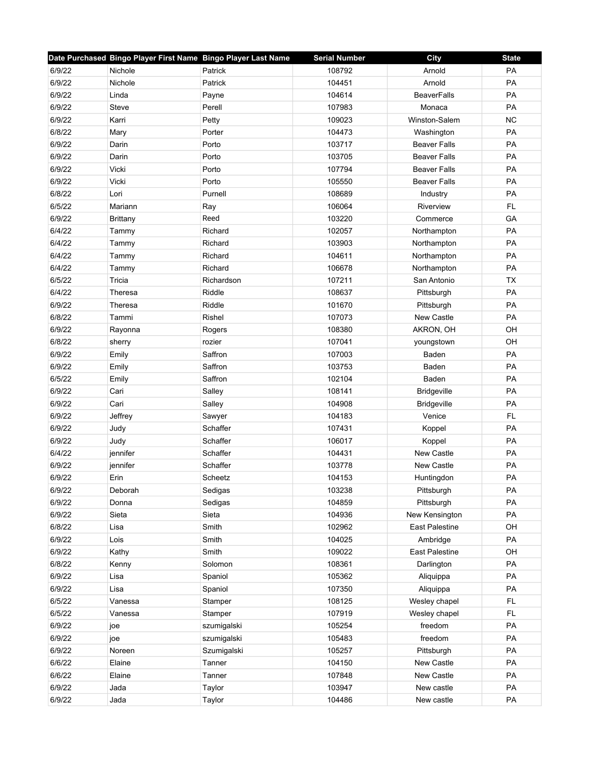|        | Date Purchased Bingo Player First Name Bingo Player Last Name |             | <b>Serial Number</b> | City                  | <b>State</b> |
|--------|---------------------------------------------------------------|-------------|----------------------|-----------------------|--------------|
| 6/9/22 | Nichole                                                       | Patrick     | 108792               | Arnold                | PA           |
| 6/9/22 | Nichole                                                       | Patrick     | 104451               | Arnold                | PA           |
| 6/9/22 | Linda                                                         | Payne       | 104614               | <b>BeaverFalls</b>    | PA           |
| 6/9/22 | Steve                                                         | Perell      | 107983               | Monaca                | <b>PA</b>    |
| 6/9/22 | Karri                                                         | Petty       | 109023               | Winston-Salem         | <b>NC</b>    |
| 6/8/22 | Mary                                                          | Porter      | 104473               | Washington            | PA           |
| 6/9/22 | Darin                                                         | Porto       | 103717               | <b>Beaver Falls</b>   | PA           |
| 6/9/22 | Darin                                                         | Porto       | 103705               | <b>Beaver Falls</b>   | PA           |
| 6/9/22 | Vicki                                                         | Porto       | 107794               | <b>Beaver Falls</b>   | PA           |
| 6/9/22 | Vicki                                                         | Porto       | 105550               | <b>Beaver Falls</b>   | PA           |
| 6/8/22 | Lori                                                          | Purnell     | 108689               | Industry              | PA           |
| 6/5/22 | Mariann                                                       | Ray         | 106064               | Riverview             | FL           |
| 6/9/22 | <b>Brittany</b>                                               | Reed        | 103220               | Commerce              | GA           |
| 6/4/22 | Tammy                                                         | Richard     | 102057               | Northampton           | PA           |
| 6/4/22 | Tammy                                                         | Richard     | 103903               | Northampton           | PA           |
| 6/4/22 | Tammy                                                         | Richard     | 104611               | Northampton           | PA           |
| 6/4/22 | Tammy                                                         | Richard     | 106678               | Northampton           | PA           |
| 6/5/22 | Tricia                                                        | Richardson  | 107211               | San Antonio           | <b>TX</b>    |
| 6/4/22 | Theresa                                                       | Riddle      | 108637               | Pittsburgh            | PA           |
| 6/9/22 | Theresa                                                       | Riddle      | 101670               | Pittsburgh            | PA           |
| 6/8/22 | Tammi                                                         | Rishel      | 107073               | New Castle            | PA           |
| 6/9/22 | Rayonna                                                       | Rogers      | 108380               | AKRON, OH             | OH           |
| 6/8/22 | sherry                                                        | rozier      | 107041               | youngstown            | OH           |
| 6/9/22 | Emily                                                         | Saffron     | 107003               | Baden                 | PA           |
| 6/9/22 | Emily                                                         | Saffron     | 103753               | Baden                 | PA           |
| 6/5/22 | Emily                                                         | Saffron     | 102104               | Baden                 | PA           |
| 6/9/22 | Cari                                                          | Salley      | 108141               | <b>Bridgeville</b>    | PA           |
| 6/9/22 | Cari                                                          | Salley      | 104908               | <b>Bridgeville</b>    | PA           |
| 6/9/22 | Jeffrey                                                       | Sawyer      | 104183               | Venice                | FL           |
| 6/9/22 | Judy                                                          | Schaffer    | 107431               | Koppel                | PA           |
| 6/9/22 | Judy                                                          | Schaffer    | 106017               | Koppel                | PA           |
| 6/4/22 | jennifer                                                      | Schaffer    | 104431               | New Castle            | PA           |
| 6/9/22 | jennifer                                                      | Schaffer    | 103778               | New Castle            | PA           |
| 6/9/22 | Erin                                                          | Scheetz     | 104153               | Huntingdon            | PA           |
| 6/9/22 | Deborah                                                       | Sedigas     | 103238               | Pittsburgh            | PA           |
| 6/9/22 | Donna                                                         | Sedigas     | 104859               | Pittsburgh            | PA           |
| 6/9/22 | Sieta                                                         | Sieta       | 104936               | New Kensington        | PA           |
| 6/8/22 | Lisa                                                          | Smith       | 102962               | <b>East Palestine</b> | OH           |
| 6/9/22 | Lois                                                          | Smith       | 104025               | Ambridge              | PA           |
| 6/9/22 | Kathy                                                         | Smith       | 109022               | East Palestine        | OH           |
| 6/8/22 | Kenny                                                         | Solomon     | 108361               | Darlington            | PA           |
| 6/9/22 | Lisa                                                          | Spaniol     | 105362               | Aliquippa             | PA           |
| 6/9/22 | Lisa                                                          | Spaniol     | 107350               | Aliquippa             | PA           |
| 6/5/22 | Vanessa                                                       | Stamper     | 108125               | Wesley chapel         | FL           |
| 6/5/22 | Vanessa                                                       | Stamper     | 107919               | Wesley chapel         | FL           |
| 6/9/22 | joe                                                           | szumigalski | 105254               | freedom               | PA           |
| 6/9/22 | joe                                                           | szumigalski | 105483               | freedom               | PA           |
| 6/9/22 | Noreen                                                        | Szumigalski | 105257               | Pittsburgh            | PA           |
| 6/6/22 | Elaine                                                        | Tanner      | 104150               | New Castle            | PA           |
| 6/6/22 | Elaine                                                        | Tanner      | 107848               | New Castle            | PA           |
| 6/9/22 | Jada                                                          |             | 103947               | New castle            | PA           |
|        |                                                               | Taylor      |                      |                       |              |
| 6/9/22 | Jada                                                          | Taylor      | 104486               | New castle            | PA           |